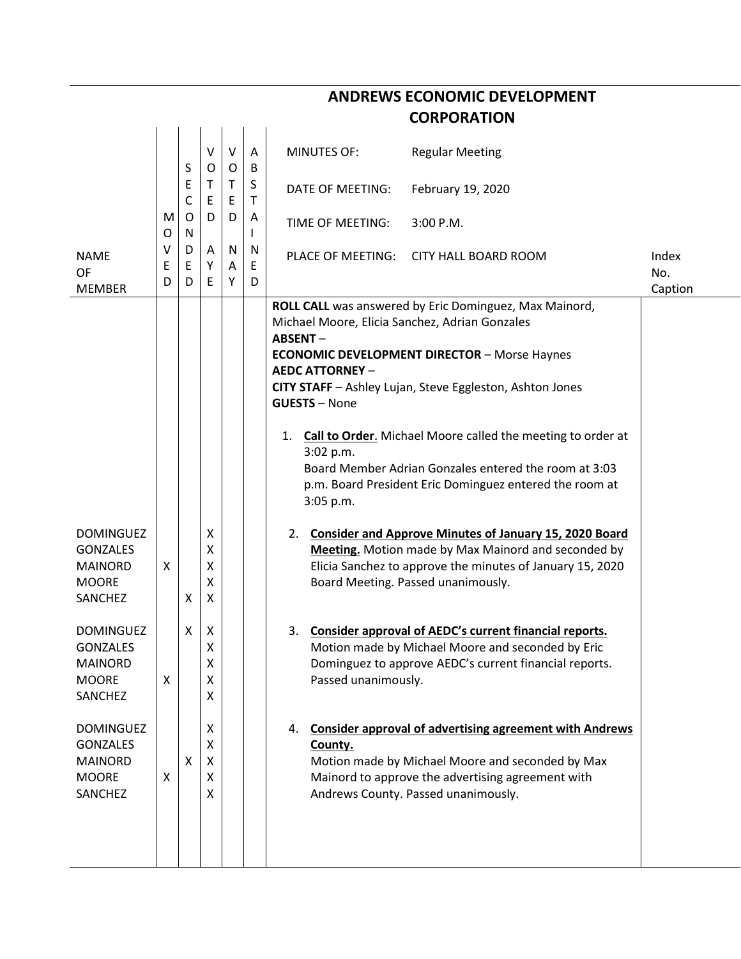|                                                                                         | <b>CORPORATION</b> |                            |                       |             |             |                                                                                                                                                                                                                                                                                                                                                                                                                                                                                                                           |                                                                                                                                                                                                                |                         |  |  |  |
|-----------------------------------------------------------------------------------------|--------------------|----------------------------|-----------------------|-------------|-------------|---------------------------------------------------------------------------------------------------------------------------------------------------------------------------------------------------------------------------------------------------------------------------------------------------------------------------------------------------------------------------------------------------------------------------------------------------------------------------------------------------------------------------|----------------------------------------------------------------------------------------------------------------------------------------------------------------------------------------------------------------|-------------------------|--|--|--|
|                                                                                         |                    | S                          | V<br>O                | $\vee$<br>O | A<br>B      | <b>MINUTES OF:</b>                                                                                                                                                                                                                                                                                                                                                                                                                                                                                                        | <b>Regular Meeting</b>                                                                                                                                                                                         |                         |  |  |  |
|                                                                                         | M<br>O             | Ε<br>$\mathsf C$<br>O<br>N | Τ<br>E<br>D           | T<br>E<br>D | S<br>T      | DATE OF MEETING:                                                                                                                                                                                                                                                                                                                                                                                                                                                                                                          | February 19, 2020                                                                                                                                                                                              |                         |  |  |  |
|                                                                                         |                    |                            |                       |             | A           | TIME OF MEETING:                                                                                                                                                                                                                                                                                                                                                                                                                                                                                                          | 3:00 P.M.                                                                                                                                                                                                      |                         |  |  |  |
| <b>NAME</b><br>OF<br><b>MEMBER</b>                                                      | v<br>Ε<br>D        | D<br>Ε<br>D                | A<br>Υ<br>E           | N<br>Α<br>Υ | N<br>E<br>D | PLACE OF MEETING:                                                                                                                                                                                                                                                                                                                                                                                                                                                                                                         | <b>CITY HALL BOARD ROOM</b>                                                                                                                                                                                    | Index<br>No.<br>Caption |  |  |  |
|                                                                                         |                    |                            |                       |             |             | ROLL CALL was answered by Eric Dominguez, Max Mainord,<br>Michael Moore, Elicia Sanchez, Adrian Gonzales<br><b>ABSENT-</b><br><b>ECONOMIC DEVELOPMENT DIRECTOR - Morse Haynes</b><br><b>AEDC ATTORNEY -</b><br>CITY STAFF - Ashley Lujan, Steve Eggleston, Ashton Jones<br><b>GUESTS - None</b><br><b>Call to Order.</b> Michael Moore called the meeting to order at<br>1.<br>3:02 p.m.<br>Board Member Adrian Gonzales entered the room at 3:03<br>p.m. Board President Eric Dominguez entered the room at<br>3:05 p.m. |                                                                                                                                                                                                                |                         |  |  |  |
| <b>DOMINGUEZ</b><br><b>GONZALES</b><br><b>MAINORD</b><br><b>MOORE</b><br><b>SANCHEZ</b> | X                  | X                          | х<br>х<br>Χ<br>Χ<br>X |             |             | 2. Consider and Approve Minutes of January 15, 2020 Board<br>Meeting. Motion made by Max Mainord and seconded by<br>Elicia Sanchez to approve the minutes of January 15, 2020<br>Board Meeting. Passed unanimously.                                                                                                                                                                                                                                                                                                       |                                                                                                                                                                                                                |                         |  |  |  |
| <b>DOMINGUEZ</b><br><b>GONZALES</b><br><b>MAINORD</b><br><b>MOORE</b><br>SANCHEZ        | X                  | X                          | X<br>Χ<br>X<br>X<br>X |             |             | 3.<br>Passed unanimously.                                                                                                                                                                                                                                                                                                                                                                                                                                                                                                 | Consider approval of AEDC's current financial reports.<br>Motion made by Michael Moore and seconded by Eric<br>Dominguez to approve AEDC's current financial reports.                                          |                         |  |  |  |
| <b>DOMINGUEZ</b><br><b>GONZALES</b><br><b>MAINORD</b><br><b>MOORE</b><br>SANCHEZ        | X                  | Χ                          | X<br>X<br>X<br>X<br>X |             |             | 4.<br>County.                                                                                                                                                                                                                                                                                                                                                                                                                                                                                                             | <b>Consider approval of advertising agreement with Andrews</b><br>Motion made by Michael Moore and seconded by Max<br>Mainord to approve the advertising agreement with<br>Andrews County. Passed unanimously. |                         |  |  |  |

**ANDREWS ECONOMIC DEVELOPMENT**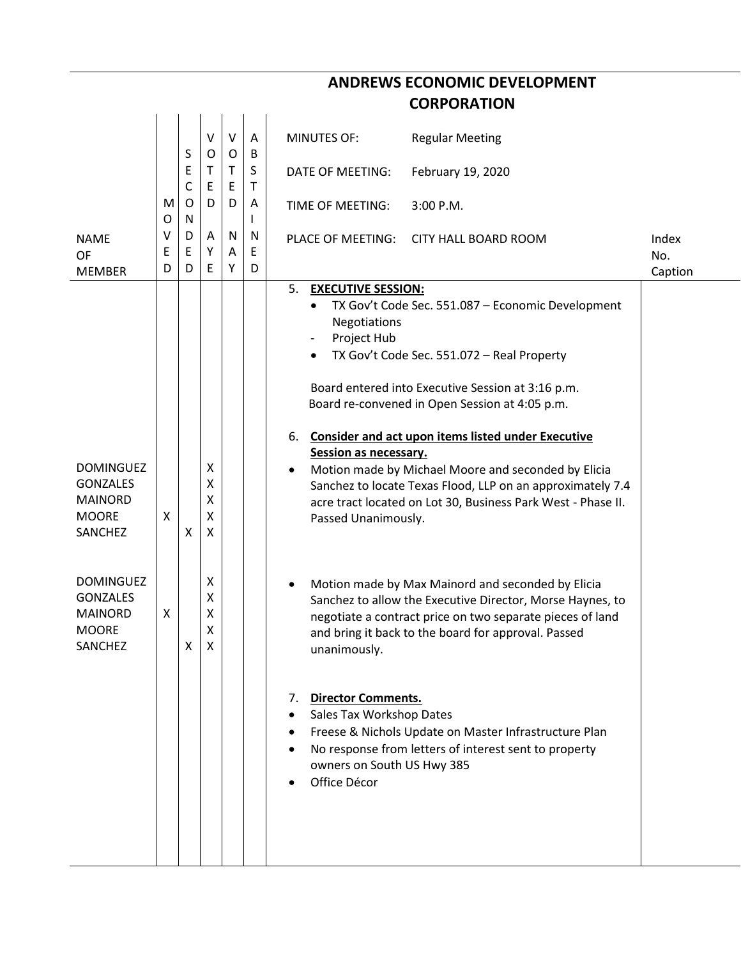|                                                                                                                                                                      |             | <b>CORPORATION</b> |                                                |                   |              |                                                                                                                                                                                                                                                                                                                                                                                                                                                                                                                                                                                                                                                                                                                                                                                                                                                                                                                                                                                                                                                                                                           |  |  |  |
|----------------------------------------------------------------------------------------------------------------------------------------------------------------------|-------------|--------------------|------------------------------------------------|-------------------|--------------|-----------------------------------------------------------------------------------------------------------------------------------------------------------------------------------------------------------------------------------------------------------------------------------------------------------------------------------------------------------------------------------------------------------------------------------------------------------------------------------------------------------------------------------------------------------------------------------------------------------------------------------------------------------------------------------------------------------------------------------------------------------------------------------------------------------------------------------------------------------------------------------------------------------------------------------------------------------------------------------------------------------------------------------------------------------------------------------------------------------|--|--|--|
|                                                                                                                                                                      |             | S                  | $\vee$<br>O                                    | V<br>$\mathsf{O}$ | A<br>B       | <b>MINUTES OF:</b><br><b>Regular Meeting</b>                                                                                                                                                                                                                                                                                                                                                                                                                                                                                                                                                                                                                                                                                                                                                                                                                                                                                                                                                                                                                                                              |  |  |  |
|                                                                                                                                                                      |             | Ε<br>С             | т<br>E                                         | T<br>E            | S<br>Τ       | February 19, 2020<br>DATE OF MEETING:                                                                                                                                                                                                                                                                                                                                                                                                                                                                                                                                                                                                                                                                                                                                                                                                                                                                                                                                                                                                                                                                     |  |  |  |
|                                                                                                                                                                      | M<br>O      | O<br>N             | D                                              | D                 | A            | 3:00 P.M.<br>TIME OF MEETING:                                                                                                                                                                                                                                                                                                                                                                                                                                                                                                                                                                                                                                                                                                                                                                                                                                                                                                                                                                                                                                                                             |  |  |  |
| <b>NAME</b><br><b>OF</b><br><b>MEMBER</b>                                                                                                                            | ٧<br>Е<br>D | D<br>Ε<br>D        | A<br>Y<br>Ε                                    | N<br>A<br>Υ       | N<br>E.<br>D | <b>PLACE OF MEETING:</b><br><b>CITY HALL BOARD ROOM</b><br>Index<br>No.<br>Caption                                                                                                                                                                                                                                                                                                                                                                                                                                                                                                                                                                                                                                                                                                                                                                                                                                                                                                                                                                                                                        |  |  |  |
| <b>DOMINGUEZ</b><br><b>GONZALES</b><br><b>MAINORD</b><br><b>MOORE</b><br>SANCHEZ<br><b>DOMINGUEZ</b><br><b>GONZALES</b><br><b>MAINORD</b><br><b>MOORE</b><br>SANCHEZ | X<br>X      | X<br>X             | X<br>Χ<br>X<br>Χ<br>X<br>X<br>X<br>Χ<br>x<br>X |                   |              | 5. EXECUTIVE SESSION:<br>TX Gov't Code Sec. 551.087 - Economic Development<br>$\bullet$<br>Negotiations<br>Project Hub<br>$\overline{\phantom{a}}$<br>TX Gov't Code Sec. 551.072 - Real Property<br>٠<br>Board entered into Executive Session at 3:16 p.m.<br>Board re-convened in Open Session at 4:05 p.m.<br><b>Consider and act upon items listed under Executive</b><br>6.<br>Session as necessary.<br>Motion made by Michael Moore and seconded by Elicia<br>Sanchez to locate Texas Flood, LLP on an approximately 7.4<br>acre tract located on Lot 30, Business Park West - Phase II.<br>Passed Unanimously.<br>Motion made by Max Mainord and seconded by Elicia<br>Sanchez to allow the Executive Director, Morse Haynes, to<br>negotiate a contract price on two separate pieces of land<br>and bring it back to the board for approval. Passed<br>unanimously.<br><b>Director Comments.</b><br>7.<br>Sales Tax Workshop Dates<br>Freese & Nichols Update on Master Infrastructure Plan<br>No response from letters of interest sent to property<br>owners on South US Hwy 385<br>Office Décor |  |  |  |

**ANDREWS ECONOMIC DEVELOPMENT**